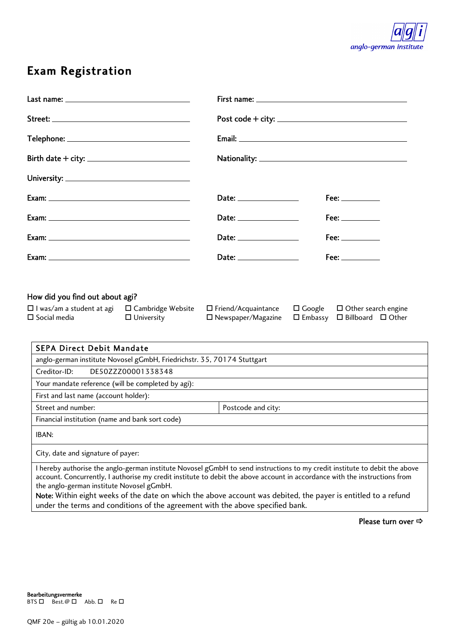

# Exam Registration

|                                                                                                                                                                                                                                                                                                                                                                                                                                                                                                           |                                                                                                                                                                                                                                                                                                                                                                                                                                 | Post code + city: $\frac{1}{2}$ = $\frac{1}{2}$ = $\frac{1}{2}$ = $\frac{1}{2}$ = $\frac{1}{2}$ = $\frac{1}{2}$ = $\frac{1}{2}$ = $\frac{1}{2}$ = $\frac{1}{2}$ = $\frac{1}{2}$ = $\frac{1}{2}$ = $\frac{1}{2}$ = $\frac{1}{2}$ = $\frac{1}{2}$ = $\frac{1}{2}$ = $\frac{1}{2}$ = $\frac{1}{2}$ = |
|-----------------------------------------------------------------------------------------------------------------------------------------------------------------------------------------------------------------------------------------------------------------------------------------------------------------------------------------------------------------------------------------------------------------------------------------------------------------------------------------------------------|---------------------------------------------------------------------------------------------------------------------------------------------------------------------------------------------------------------------------------------------------------------------------------------------------------------------------------------------------------------------------------------------------------------------------------|---------------------------------------------------------------------------------------------------------------------------------------------------------------------------------------------------------------------------------------------------------------------------------------------------|
| Telephone: ___________________________________                                                                                                                                                                                                                                                                                                                                                                                                                                                            |                                                                                                                                                                                                                                                                                                                                                                                                                                 |                                                                                                                                                                                                                                                                                                   |
| Birth date + city: $\frac{1}{2}$ = 0.000 m/s = 0.000 m/s = 0.000 m/s = 0.000 m/s = 0.000 m/s = 0.000 m/s = 0.000 m/s = 0.000 m/s = 0.000 m/s = 0.000 m/s = 0.000 m/s = 0.000 m/s = 0.000 m/s = 0.000 m/s = 0.000 m/s = 0.000 m/s                                                                                                                                                                                                                                                                          |                                                                                                                                                                                                                                                                                                                                                                                                                                 |                                                                                                                                                                                                                                                                                                   |
|                                                                                                                                                                                                                                                                                                                                                                                                                                                                                                           |                                                                                                                                                                                                                                                                                                                                                                                                                                 |                                                                                                                                                                                                                                                                                                   |
|                                                                                                                                                                                                                                                                                                                                                                                                                                                                                                           | ${\small \textsf{Date:}} \begin{tabular}{c} \textbf{Date:} \end{tabular}$                                                                                                                                                                                                                                                                                                                                                       | Fee: $\_\_$                                                                                                                                                                                                                                                                                       |
|                                                                                                                                                                                                                                                                                                                                                                                                                                                                                                           | ${\small \textsf{Date:}} \begin{tabular}{ c c c } \hline \multicolumn{3}{ c }{\textbf{Date:}} \begin{tabular}{ c c c } \hline \multicolumn{3}{ c }{\textbf{Date:}} \end{tabular} \hline \multicolumn{3}{ c }{\textbf{Date:}} \end{tabular}$                                                                                                                                                                                     | $\mathsf{Fee:}\_\_\_\_\_\_\_\$                                                                                                                                                                                                                                                                    |
|                                                                                                                                                                                                                                                                                                                                                                                                                                                                                                           | ${\small \textsf{Date:}}\begin{picture}(25,20) \put(0,0){\dashbox{0.5}(20,0){ }} \thicklines \put(0,0){\dashbox{0.5}(20,0){ }} \thicklines \put(0,0){\dashbox{0.5}(20,0){ }} \thicklines \put(0,0){\dashbox{0.5}(20,0){ }} \thicklines \put(0,0){\dashbox{0.5}(20,0){ }} \thicklines \put(0,0){\dashbox{0.5}(20,0){ }} \thicklines \put(0,0){\dashbox{0.5}(20,0){ }} \thicklines \put(0,0){\dashbox{0.5}(20,0){ }} \thicklines$ | $\mathsf{Fee:}\_\_\_\_\_\_\_\$                                                                                                                                                                                                                                                                    |
|                                                                                                                                                                                                                                                                                                                                                                                                                                                                                                           | Date: $\qquad \qquad$                                                                                                                                                                                                                                                                                                                                                                                                           |                                                                                                                                                                                                                                                                                                   |
| $\Box$ I was/am a student at agi<br>$\Box$ Cambridge Website<br>$\square$ Social media<br>$\Box$ University                                                                                                                                                                                                                                                                                                                                                                                               | $\Box$ Friend/Acquaintance<br>$\square$ Newspaper/Magazine                                                                                                                                                                                                                                                                                                                                                                      | $\square$ Google<br>$\Box$ Other search engine<br>$\square$ Embassy $\square$ Billboard $\square$ Other                                                                                                                                                                                           |
| <b>SEPA Direct Debit Mandate</b>                                                                                                                                                                                                                                                                                                                                                                                                                                                                          |                                                                                                                                                                                                                                                                                                                                                                                                                                 |                                                                                                                                                                                                                                                                                                   |
| anglo-german institute Novosel gGmbH, Friedrichstr. 35, 70174 Stuttgart                                                                                                                                                                                                                                                                                                                                                                                                                                   |                                                                                                                                                                                                                                                                                                                                                                                                                                 |                                                                                                                                                                                                                                                                                                   |
| Creditor-ID:<br>DE50ZZZ00001338348                                                                                                                                                                                                                                                                                                                                                                                                                                                                        |                                                                                                                                                                                                                                                                                                                                                                                                                                 |                                                                                                                                                                                                                                                                                                   |
| Your mandate reference (will be completed by agi):                                                                                                                                                                                                                                                                                                                                                                                                                                                        |                                                                                                                                                                                                                                                                                                                                                                                                                                 |                                                                                                                                                                                                                                                                                                   |
| First and last name (account holder):                                                                                                                                                                                                                                                                                                                                                                                                                                                                     |                                                                                                                                                                                                                                                                                                                                                                                                                                 |                                                                                                                                                                                                                                                                                                   |
| Street and number:                                                                                                                                                                                                                                                                                                                                                                                                                                                                                        | Postcode and city:                                                                                                                                                                                                                                                                                                                                                                                                              |                                                                                                                                                                                                                                                                                                   |
| Financial institution (name and bank sort code)                                                                                                                                                                                                                                                                                                                                                                                                                                                           |                                                                                                                                                                                                                                                                                                                                                                                                                                 |                                                                                                                                                                                                                                                                                                   |
| IBAN:                                                                                                                                                                                                                                                                                                                                                                                                                                                                                                     |                                                                                                                                                                                                                                                                                                                                                                                                                                 |                                                                                                                                                                                                                                                                                                   |
| City, date and signature of payer:                                                                                                                                                                                                                                                                                                                                                                                                                                                                        |                                                                                                                                                                                                                                                                                                                                                                                                                                 |                                                                                                                                                                                                                                                                                                   |
| I hereby authorise the anglo-german institute Novosel gGmbH to send instructions to my credit institute to debit the above<br>account. Concurrently, I authorise my credit institute to debit the above account in accordance with the instructions from<br>the anglo-german institute Novosel gGmbH.<br>Note: Within eight weeks of the date on which the above account was debited, the payer is entitled to a refund<br>under the terms and conditions of the agreement with the above specified bank. |                                                                                                                                                                                                                                                                                                                                                                                                                                 |                                                                                                                                                                                                                                                                                                   |

Please turn over  $\Rightarrow$